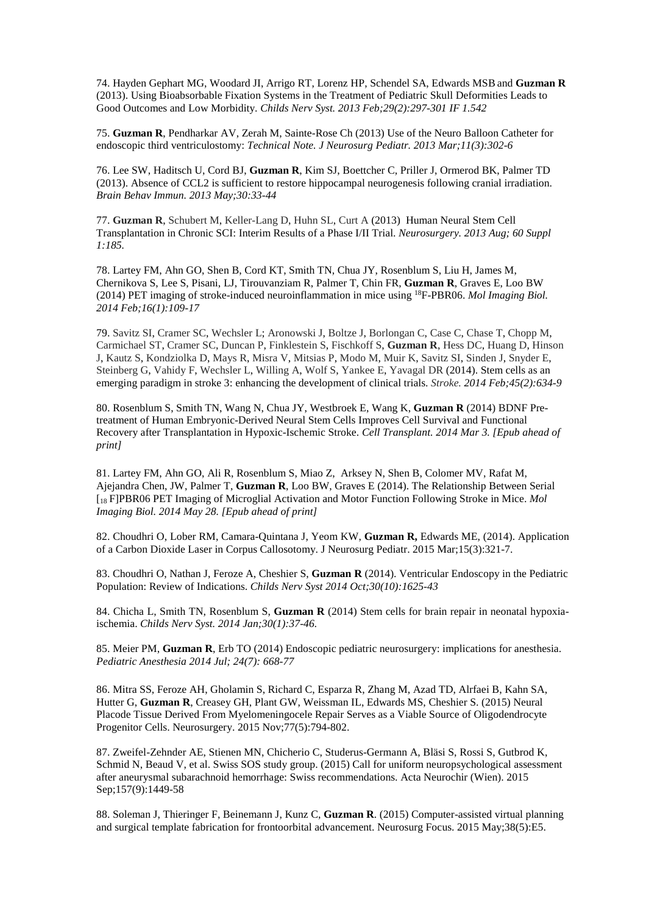74. Hayden Gephart MG, Woodard JI, Arrigo RT, Lorenz HP, Schendel SA, Edwards MSB and **Guzman R** (2013). Using Bioabsorbable Fixation Systems in the Treatment of Pediatric Skull Deformities Leads to Good Outcomes and Low Morbidity. *Childs Nerv Syst. 2013 Feb;29(2):297-301 IF 1.542* 

75. **Guzman R**, Pendharkar AV, Zerah M, Sainte-Rose Ch (2013) Use of the Neuro Balloon Catheter for endoscopic third ventriculostomy: *Technical Note. J Neurosurg Pediatr. 2013 Mar;11(3):302-6*

76. Lee SW, Haditsch U, Cord BJ, **Guzman R**, Kim SJ, Boettcher C, Priller J, Ormerod BK, Palmer TD (2013). Absence of CCL2 is sufficient to restore hippocampal neurogenesis following cranial irradiation. *Brain Behav Immun. 2013 May;30:33-44* 

77. **Guzman R**, Schubert M, Keller-Lang D, Huhn SL, Curt A (2013) Human Neural Stem Cell Transplantation in Chronic SCI: Interim Results of a Phase I/II Trial. *Neurosurgery. 2013 Aug; 60 Suppl 1:185.*

78. Lartey FM, Ahn GO, Shen B, Cord KT, Smith TN, Chua JY, Rosenblum S, Liu H, James M, Chernikova S, Lee S, Pisani, LJ, Tirouvanziam R, Palmer T, Chin FR, **Guzman R**, Graves E, Loo BW (2014) PET imaging of stroke-induced neuroinflammation in mice using <sup>18</sup>F-PBR06. *Mol Imaging Biol. 2014 Feb;16(1):109-17* 

79. Savitz SI, Cramer SC, Wechsler L; Aronowski J, Boltze J, Borlongan C, Case C, Chase T, Chopp M, Carmichael ST, Cramer SC, Duncan P, Finklestein S, Fischkoff S, **Guzman R**, Hess DC, Huang D, Hinson J, Kautz S, Kondziolka D, Mays R, Misra V, Mitsias P, Modo M, Muir K, Savitz SI, Sinden J, Snyder E, Steinberg G, Vahidy F, Wechsler L, Willing A, Wolf S, Yankee E, Yavagal DR (2014). Stem cells as an emerging paradigm in stroke 3: enhancing the development of clinical trials. *Stroke. 2014 Feb;45(2):634-9*

80. Rosenblum S, Smith TN, Wang N, Chua JY, Westbroek E, Wang K, **Guzman R** (2014) BDNF Pretreatment of Human Embryonic-Derived Neural Stem Cells Improves Cell Survival and Functional Recovery after Transplantation in Hypoxic-Ischemic Stroke. *Cell Transplant. 2014 Mar 3. [Epub ahead of print]* 

81. Lartey FM, Ahn GO, Ali R, Rosenblum S, Miao Z, Arksey N, Shen B, Colomer MV, Rafat M, Ajejandra Chen, JW, Palmer T, **Guzman R**, Loo BW, Graves E (2014). The Relationship Between Serial [<sup>18</sup> F]PBR06 PET Imaging of Microglial Activation and Motor Function Following Stroke in Mice. *Mol Imaging Biol. 2014 May 28. [Epub ahead of print]* 

82. Choudhri O, Lober RM, Camara-Quintana J, Yeom KW, **Guzman R,** Edwards ME, (2014). Application of a Carbon Dioxide Laser in Corpus Callosotomy. J Neurosurg Pediatr. 2015 Mar;15(3):321-7.

83. Choudhri O, Nathan J, Feroze A, Cheshier S, **Guzman R** (2014). Ventricular Endoscopy in the Pediatric Population: Review of Indications. *Childs Nerv Syst 2014 Oct;30(10):1625-43* 

84. Chicha L, Smith TN, Rosenblum S, **Guzman R** (2014) Stem cells for brain repair in neonatal hypoxiaischemia. *Childs Nerv Syst. 2014 Jan;30(1):37-46.* 

85. Meier PM, **Guzman R**, Erb TO (2014) Endoscopic pediatric neurosurgery: implications for anesthesia. *Pediatric Anesthesia 2014 Jul; 24(7): 668-77* 

86. Mitra SS, Feroze AH, Gholamin S, Richard C, Esparza R, Zhang M, Azad TD, Alrfaei B, Kahn SA, Hutter G, **Guzman R**, Creasey GH, Plant GW, Weissman IL, Edwards MS, Cheshier S. (2015) Neural Placode Tissue Derived From Myelomeningocele Repair Serves as a Viable Source of Oligodendrocyte Progenitor Cells. Neurosurgery. 2015 Nov;77(5):794-802.

87. Zweifel-Zehnder AE, Stienen MN, Chicherio C, Studerus-Germann A, Bläsi S, Rossi S, Gutbrod K, Schmid N, Beaud V, et al. Swiss SOS study group. (2015) Call for uniform neuropsychological assessment after aneurysmal subarachnoid hemorrhage: Swiss recommendations. Acta Neurochir (Wien). 2015 Sep;157(9):1449-58

88. Soleman J, Thieringer F, Beinemann J, Kunz C, **Guzman R**. (2015) Computer-assisted virtual planning and surgical template fabrication for frontoorbital advancement. Neurosurg Focus. 2015 May;38(5):E5.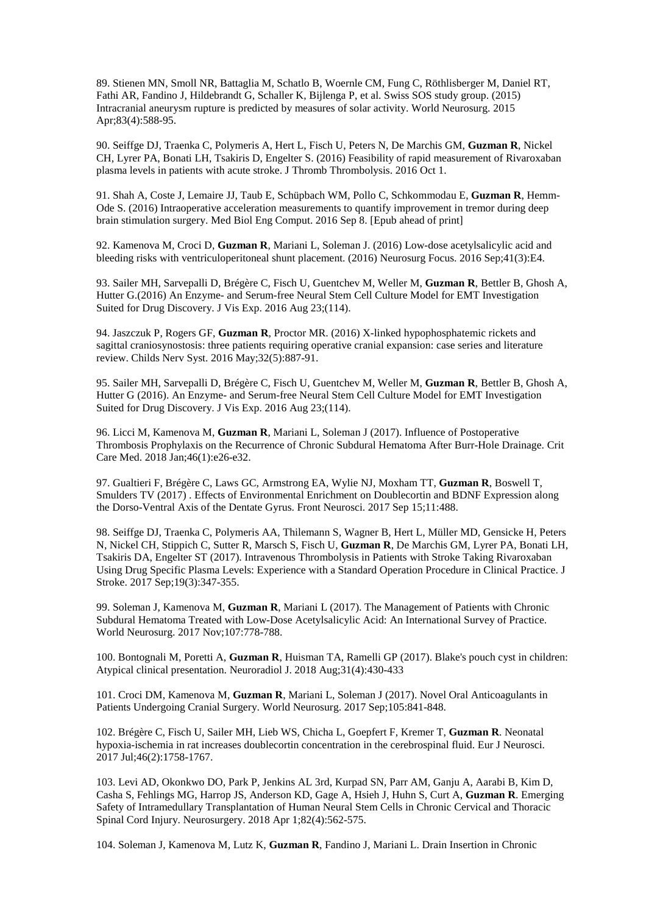89. Stienen MN, Smoll NR, Battaglia M, Schatlo B, Woernle CM, Fung C, Röthlisberger M, Daniel RT, Fathi AR, Fandino J, Hildebrandt G, Schaller K, Bijlenga P, et al. Swiss SOS study group. (2015) Intracranial aneurysm rupture is predicted by measures of solar activity. World Neurosurg. 2015 Apr;83(4):588-95.

90. Seiffge DJ, Traenka C, Polymeris A, Hert L, Fisch U, Peters N, De Marchis GM, **Guzman R**, Nickel CH, Lyrer PA, Bonati LH, Tsakiris D, Engelter S. (2016) Feasibility of rapid measurement of Rivaroxaban plasma levels in patients with acute stroke. J Thromb Thrombolysis. 2016 Oct 1.

91. Shah A, Coste J, Lemaire JJ, Taub E, Schüpbach WM, Pollo C, Schkommodau E, **Guzman R**, Hemm-Ode S. (2016) Intraoperative acceleration measurements to quantify improvement in tremor during deep brain stimulation surgery. Med Biol Eng Comput. 2016 Sep 8. [Epub ahead of print]

92. Kamenova M, Croci D, **Guzman R**, Mariani L, Soleman J. (2016) Low-dose acetylsalicylic acid and bleeding risks with ventriculoperitoneal shunt placement. (2016) Neurosurg Focus. 2016 Sep;41(3):E4.

93. Sailer MH, Sarvepalli D, Brégère C, Fisch U, Guentchev M, Weller M, **Guzman R**, Bettler B, Ghosh A, Hutter G.(2016) An Enzyme- and Serum-free Neural Stem Cell Culture Model for EMT Investigation Suited for Drug Discovery. J Vis Exp. 2016 Aug 23;(114).

94. Jaszczuk P, Rogers GF, **Guzman R**, Proctor MR. (2016) X-linked hypophosphatemic rickets and sagittal craniosynostosis: three patients requiring operative cranial expansion: case series and literature review. Childs Nerv Syst. 2016 May;32(5):887-91.

95. Sailer MH, Sarvepalli D, Brégère C, Fisch U, Guentchev M, Weller M, **Guzman R**, Bettler B, Ghosh A, Hutter G (2016). An Enzyme- and Serum-free Neural Stem Cell Culture Model for EMT Investigation Suited for Drug Discovery. J Vis Exp. 2016 Aug 23;(114).

96. Licci M, Kamenova M, **Guzman R**, Mariani L, Soleman J (2017). Influence of Postoperative Thrombosis Prophylaxis on the Recurrence of Chronic Subdural Hematoma After Burr-Hole Drainage. Crit Care Med. 2018 Jan;46(1):e26-e32.

97. Gualtieri F, Brégère C, Laws GC, Armstrong EA, Wylie NJ, Moxham TT, **Guzman R**, Boswell T, Smulders TV (2017) . Effects of Environmental Enrichment on Doublecortin and BDNF Expression along the Dorso-Ventral Axis of the Dentate Gyrus. Front Neurosci. 2017 Sep 15;11:488.

98. Seiffge DJ, Traenka C, Polymeris AA, Thilemann S, Wagner B, Hert L, Müller MD, Gensicke H, Peters N, Nickel CH, Stippich C, Sutter R, Marsch S, Fisch U, **Guzman R**, De Marchis GM, Lyrer PA, Bonati LH, Tsakiris DA, Engelter ST (2017). Intravenous Thrombolysis in Patients with Stroke Taking Rivaroxaban Using Drug Specific Plasma Levels: Experience with a Standard Operation Procedure in Clinical Practice. J Stroke. 2017 Sep;19(3):347-355.

99. Soleman J, Kamenova M, **Guzman R**, Mariani L (2017). The Management of Patients with Chronic Subdural Hematoma Treated with Low-Dose Acetylsalicylic Acid: An International Survey of Practice. World Neurosurg. 2017 Nov;107:778-788.

100. Bontognali M, Poretti A, **Guzman R**, Huisman TA, Ramelli GP (2017). Blake's pouch cyst in children: Atypical clinical presentation. Neuroradiol J. 2018 Aug;31(4):430-433

101. Croci DM, Kamenova M, **Guzman R**, Mariani L, Soleman J (2017). Novel Oral Anticoagulants in Patients Undergoing Cranial Surgery. World Neurosurg. 2017 Sep;105:841-848.

102. Brégère C, Fisch U, Sailer MH, Lieb WS, Chicha L, Goepfert F, Kremer T, **Guzman R**. Neonatal hypoxia-ischemia in rat increases doublecortin concentration in the cerebrospinal fluid. Eur J Neurosci. 2017 Jul;46(2):1758-1767.

103. Levi AD, Okonkwo DO, Park P, Jenkins AL 3rd, Kurpad SN, Parr AM, Ganju A, Aarabi B, Kim D, Casha S, Fehlings MG, Harrop JS, Anderson KD, Gage A, Hsieh J, Huhn S, Curt A, **Guzman R**. Emerging Safety of Intramedullary Transplantation of Human Neural Stem Cells in Chronic Cervical and Thoracic Spinal Cord Injury. Neurosurgery. 2018 Apr 1;82(4):562-575.

104. Soleman J, Kamenova M, Lutz K, **Guzman R**, Fandino J, Mariani L. Drain Insertion in Chronic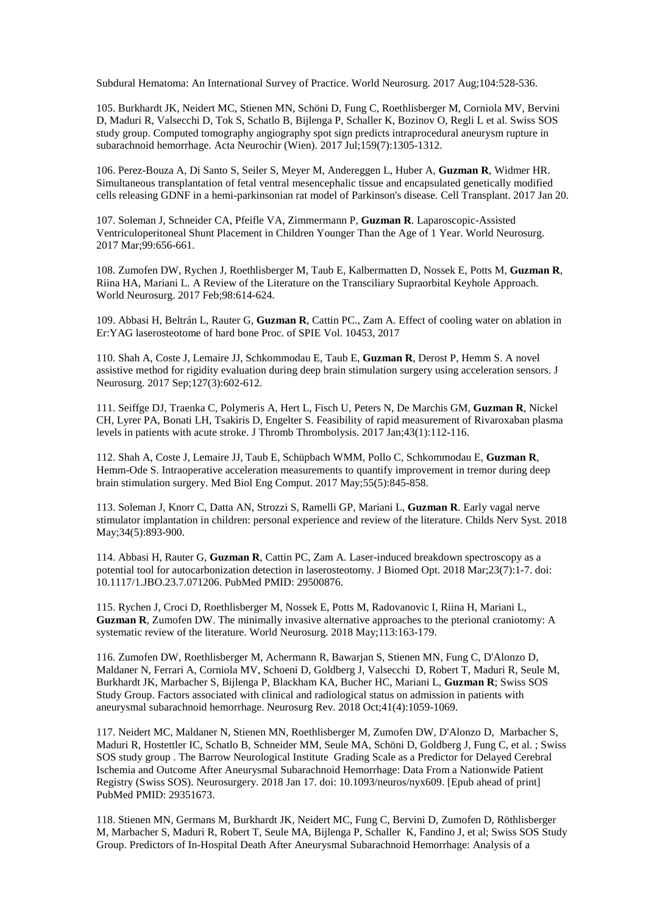Subdural Hematoma: An International Survey of Practice. World Neurosurg. 2017 Aug;104:528-536.

105. Burkhardt JK, Neidert MC, Stienen MN, Schöni D, Fung C, Roethlisberger M, Corniola MV, Bervini D, Maduri R, Valsecchi D, Tok S, Schatlo B, Bijlenga P, Schaller K, Bozinov O, Regli L et al. Swiss SOS study group. Computed tomography angiography spot sign predicts intraprocedural aneurysm rupture in subarachnoid hemorrhage. Acta Neurochir (Wien). 2017 Jul;159(7):1305-1312.

106. Perez-Bouza A, Di Santo S, Seiler S, Meyer M, Andereggen L, Huber A, **Guzman R**, Widmer HR. Simultaneous transplantation of fetal ventral mesencephalic tissue and encapsulated genetically modified cells releasing GDNF in a hemi-parkinsonian rat model of Parkinson's disease. Cell Transplant. 2017 Jan 20.

107. Soleman J, Schneider CA, Pfeifle VA, Zimmermann P, **Guzman R**. Laparoscopic-Assisted Ventriculoperitoneal Shunt Placement in Children Younger Than the Age of 1 Year. World Neurosurg. 2017 Mar;99:656-661.

108. Zumofen DW, Rychen J, Roethlisberger M, Taub E, Kalbermatten D, Nossek E, Potts M, **Guzman R**, Riina HA, Mariani L. A Review of the Literature on the Transciliary Supraorbital Keyhole Approach. World Neurosurg. 2017 Feb;98:614-624.

109. Abbasi H, Beltrán L, Rauter G, **Guzman R**, Cattin PC., Zam A. Effect of cooling water on ablation in Er:YAG laserosteotome of hard bone Proc. of SPIE Vol. 10453, 2017

110. Shah A, Coste J, Lemaire JJ, Schkommodau E, Taub E, **Guzman R**, Derost P, Hemm S. A novel assistive method for rigidity evaluation during deep brain stimulation surgery using acceleration sensors. J Neurosurg. 2017 Sep;127(3):602-612.

111. Seiffge DJ, Traenka C, Polymeris A, Hert L, Fisch U, Peters N, De Marchis GM, **Guzman R**, Nickel CH, Lyrer PA, Bonati LH, Tsakiris D, Engelter S. Feasibility of rapid measurement of Rivaroxaban plasma levels in patients with acute stroke. J Thromb Thrombolysis. 2017 Jan;43(1):112-116.

112. Shah A, Coste J, Lemaire JJ, Taub E, Schüpbach WMM, Pollo C, Schkommodau E, **Guzman R**, Hemm-Ode S. Intraoperative acceleration measurements to quantify improvement in tremor during deep brain stimulation surgery. Med Biol Eng Comput. 2017 May;55(5):845-858.

113. Soleman J, Knorr C, Datta AN, Strozzi S, Ramelli GP, Mariani L, **Guzman R**. Early vagal nerve stimulator implantation in children: personal experience and review of the literature. Childs Nerv Syst. 2018 May;34(5):893-900.

114. Abbasi H, Rauter G, **Guzman R**, Cattin PC, Zam A. Laser-induced breakdown spectroscopy as a potential tool for autocarbonization detection in laserosteotomy. J Biomed Opt. 2018 Mar;23(7):1-7. doi: 10.1117/1.JBO.23.7.071206. PubMed PMID: 29500876.

115. Rychen J, Croci D, Roethlisberger M, Nossek E, Potts M, Radovanovic I, Riina H, Mariani L, **Guzman R**, Zumofen DW. The minimally invasive alternative approaches to the pterional craniotomy: A systematic review of the literature. World Neurosurg. 2018 May;113:163-179.

116. Zumofen DW, Roethlisberger M, Achermann R, Bawarjan S, Stienen MN, Fung C, D'Alonzo D, Maldaner N, Ferrari A, Corniola MV, Schoeni D, Goldberg J, Valsecchi D, Robert T, Maduri R, Seule M, Burkhardt JK, Marbacher S, Bijlenga P, Blackham KA, Bucher HC, Mariani L, **Guzman R**; Swiss SOS Study Group. Factors associated with clinical and radiological status on admission in patients with aneurysmal subarachnoid hemorrhage. Neurosurg Rev. 2018 Oct;41(4):1059-1069.

117. Neidert MC, Maldaner N, Stienen MN, Roethlisberger M, Zumofen DW, D'Alonzo D, Marbacher S, Maduri R, Hostettler IC, Schatlo B, Schneider MM, Seule MA, Schöni D, Goldberg J, Fung C, et al. ; Swiss SOS study group . The Barrow Neurological Institute Grading Scale as a Predictor for Delayed Cerebral Ischemia and Outcome After Aneurysmal Subarachnoid Hemorrhage: Data From a Nationwide Patient Registry (Swiss SOS). Neurosurgery. 2018 Jan 17. doi: 10.1093/neuros/nyx609. [Epub ahead of print] PubMed PMID: 29351673.

118. Stienen MN, Germans M, Burkhardt JK, Neidert MC, Fung C, Bervini D, Zumofen D, Röthlisberger M, Marbacher S, Maduri R, Robert T, Seule MA, Bijlenga P, Schaller K, Fandino J, et al; Swiss SOS Study Group. Predictors of In-Hospital Death After Aneurysmal Subarachnoid Hemorrhage: Analysis of a